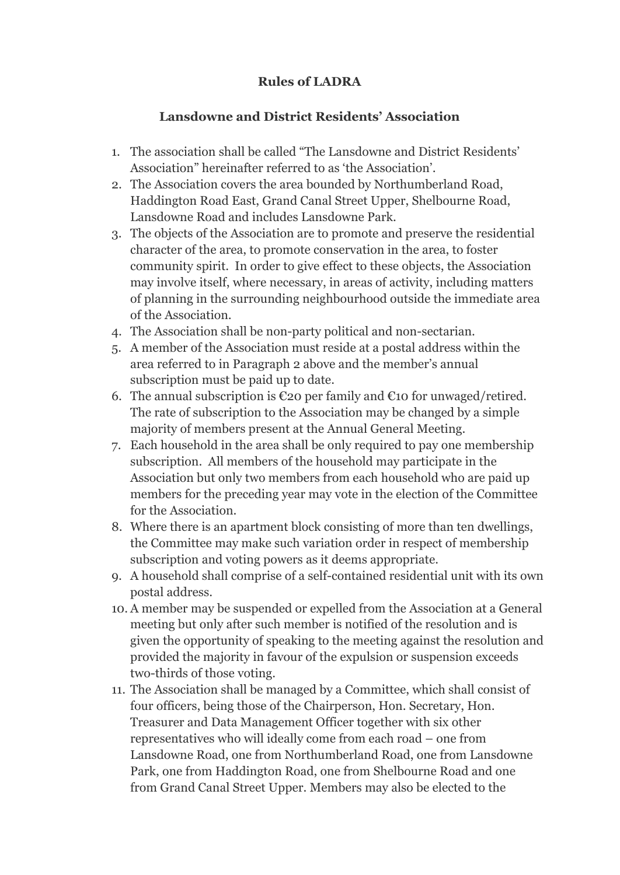## **Rules of LADRA**

## **Lansdowne and District Residents' Association**

- 1. The association shall be called "The Lansdowne and District Residents' Association" hereinafter referred to as 'the Association'.
- 2. The Association covers the area bounded by Northumberland Road, Haddington Road East, Grand Canal Street Upper, Shelbourne Road, Lansdowne Road and includes Lansdowne Park.
- 3. The objects of the Association are to promote and preserve the residential character of the area, to promote conservation in the area, to foster community spirit. In order to give effect to these objects, the Association may involve itself, where necessary, in areas of activity, including matters of planning in the surrounding neighbourhood outside the immediate area of the Association.
- 4. The Association shall be non-party political and non-sectarian.
- 5. A member of the Association must reside at a postal address within the area referred to in Paragraph 2 above and the member's annual subscription must be paid up to date.
- 6. The annual subscription is  $\epsilon$ 20 per family and  $\epsilon$ 10 for unwaged/retired. The rate of subscription to the Association may be changed by a simple majority of members present at the Annual General Meeting.
- 7. Each household in the area shall be only required to pay one membership subscription. All members of the household may participate in the Association but only two members from each household who are paid up members for the preceding year may vote in the election of the Committee for the Association.
- 8. Where there is an apartment block consisting of more than ten dwellings, the Committee may make such variation order in respect of membership subscription and voting powers as it deems appropriate.
- 9. A household shall comprise of a self-contained residential unit with its own postal address.
- 10. A member may be suspended or expelled from the Association at a General meeting but only after such member is notified of the resolution and is given the opportunity of speaking to the meeting against the resolution and provided the majority in favour of the expulsion or suspension exceeds two-thirds of those voting.
- 11. The Association shall be managed by a Committee, which shall consist of four officers, being those of the Chairperson, Hon. Secretary, Hon. Treasurer and Data Management Officer together with six other representatives who will ideally come from each road – one from Lansdowne Road, one from Northumberland Road, one from Lansdowne Park, one from Haddington Road, one from Shelbourne Road and one from Grand Canal Street Upper. Members may also be elected to the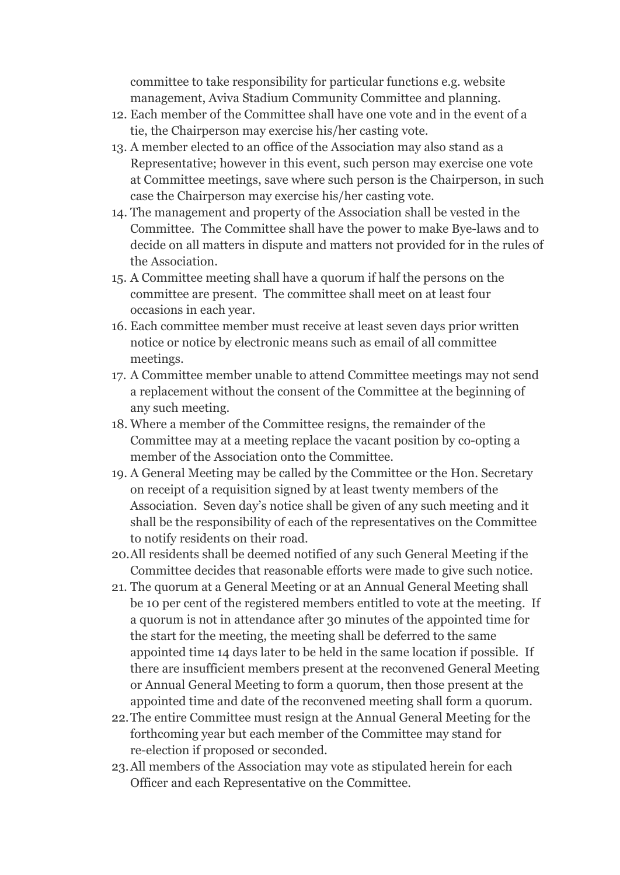committee to take responsibility for particular functions e.g. website management, Aviva Stadium Community Committee and planning.

- 12. Each member of the Committee shall have one vote and in the event of a tie, the Chairperson may exercise his/her casting vote.
- 13. A member elected to an office of the Association may also stand as a Representative; however in this event, such person may exercise one vote at Committee meetings, save where such person is the Chairperson, in such case the Chairperson may exercise his/her casting vote.
- 14. The management and property of the Association shall be vested in the Committee. The Committee shall have the power to make Bye-laws and to decide on all matters in dispute and matters not provided for in the rules of the Association.
- 15. A Committee meeting shall have a quorum if half the persons on the committee are present. The committee shall meet on at least four occasions in each year.
- 16. Each committee member must receive at least seven days prior written notice or notice by electronic means such as email of all committee meetings.
- 17. A Committee member unable to attend Committee meetings may not send a replacement without the consent of the Committee at the beginning of any such meeting.
- 18. Where a member of the Committee resigns, the remainder of the Committee may at a meeting replace the vacant position by co-opting a member of the Association onto the Committee.
- 19. A General Meeting may be called by the Committee or the Hon. Secretary on receipt of a requisition signed by at least twenty members of the Association. Seven day's notice shall be given of any such meeting and it shall be the responsibility of each of the representatives on the Committee to notify residents on their road.
- 20.All residents shall be deemed notified of any such General Meeting if the Committee decides that reasonable efforts were made to give such notice.
- 21. The quorum at a General Meeting or at an Annual General Meeting shall be 10 per cent of the registered members entitled to vote at the meeting. If a quorum is not in attendance after 30 minutes of the appointed time for the start for the meeting, the meeting shall be deferred to the same appointed time 14 days later to be held in the same location if possible. If there are insufficient members present at the reconvened General Meeting or Annual General Meeting to form a quorum, then those present at the appointed time and date of the reconvened meeting shall form a quorum.
- 22.The entire Committee must resign at the Annual General Meeting for the forthcoming year but each member of the Committee may stand for re-election if proposed or seconded.
- 23.All members of the Association may vote as stipulated herein for each Officer and each Representative on the Committee.